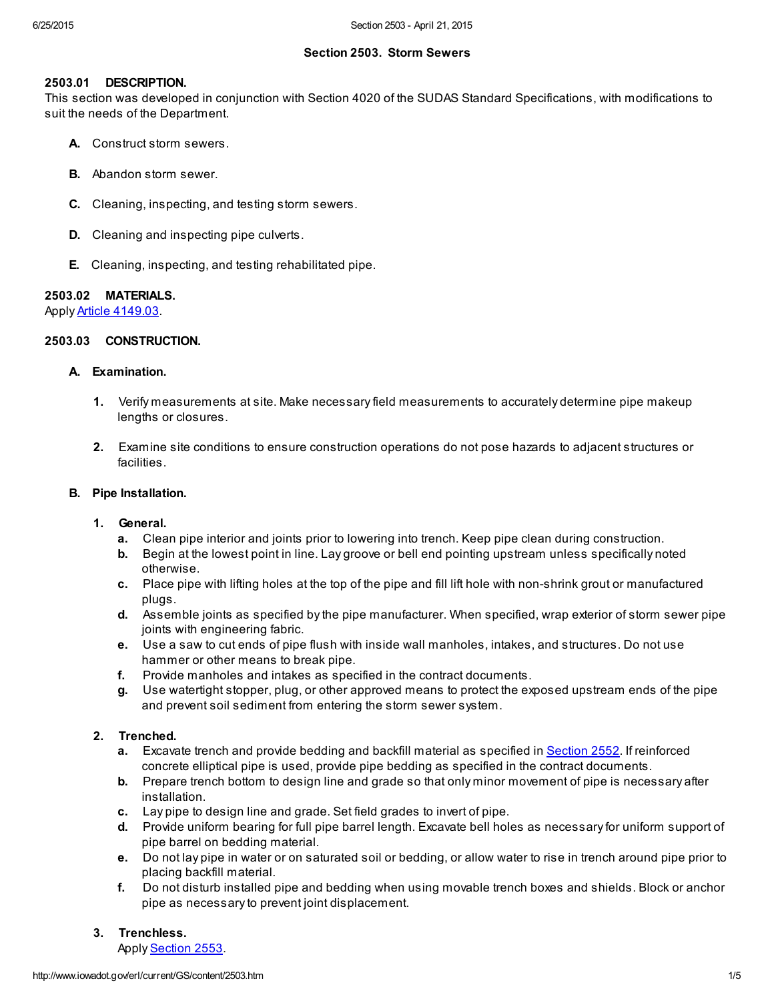## Section 2503. Storm Sewers

## 2503.01 DESCRIPTION.

This section was developed in conjunction with Section 4020 of the SUDAS Standard Specifications, with modifications to suit the needs of the Department.

- A. Construct storm sewers.
- B. Abandon storm sewer.
- C. Cleaning, inspecting, and testing storm sewers.
- D. Cleaning and inspecting pipe culverts.
- E. Cleaning, inspecting, and testing rehabilitated pipe.

#### 2503.02 MATERIALS.

Apply Article [4149.03.](http://www.iowadot.gov/erl/current/GS/content/4149.htm#Section414903)

## 2503.03 CONSTRUCTION.

#### A. Examination.

- 1. Verify measurements at site. Make necessary field measurements to accurately determine pipe makeup lengths or closures.
- 2. Examine site conditions to ensure construction operations do not pose hazards to adjacent structures or facilities.

### B. Pipe Installation.

- 1. General.
	- a. Clean pipe interior and joints prior to lowering into trench. Keep pipe clean during construction.
	- b. Begin at the lowest point in line. Lay groove or bell end pointing upstream unless specifically noted otherwise.
	- c. Place pipe with lifting holes at the top of the pipe and fill lift hole with non-shrink grout or manufactured plugs.
	- d. Assemble joints as specified by the pipe manufacturer. When specified, wrap exterior of storm sewer pipe joints with engineering fabric.
	- e. Use a saw to cut ends of pipe flush with inside wall manholes, intakes, and structures. Do not use hammer or other means to break pipe.
	- f. Provide manholes and intakes as specified in the contract documents.
	- g. Use watertight stopper, plug, or other approved means to protect the exposed upstream ends of the pipe and prevent soil sediment from entering the storm sewer system.

# 2. Trenched.

- a. Excavate trench and provide bedding and backfill material as specified in [Section](http://www.iowadot.gov/erl/current/GS/content/2552.htm) 2552. If reinforced concrete elliptical pipe is used, provide pipe bedding as specified in the contract documents.
- b. Prepare trench bottom to design line and grade so that only minor movement of pipe is necessary after installation.
- c. Lay pipe to design line and grade. Set field grades to invert of pipe.
- d. Provide uniform bearing for full pipe barrel length. Excavate bell holes as necessary for uniform support of pipe barrel on bedding material.
- e. Do not lay pipe in water or on saturated soil or bedding, or allow water to rise in trench around pipe prior to placing backfill material.
- f. Do not disturb installed pipe and bedding when using movable trench boxes and shields. Block or anchor pipe as necessary to prevent joint displacement.

# 3. Trenchless.

Apply [Section](http://www.iowadot.gov/erl/current/GS/content/2553.htm) 2553.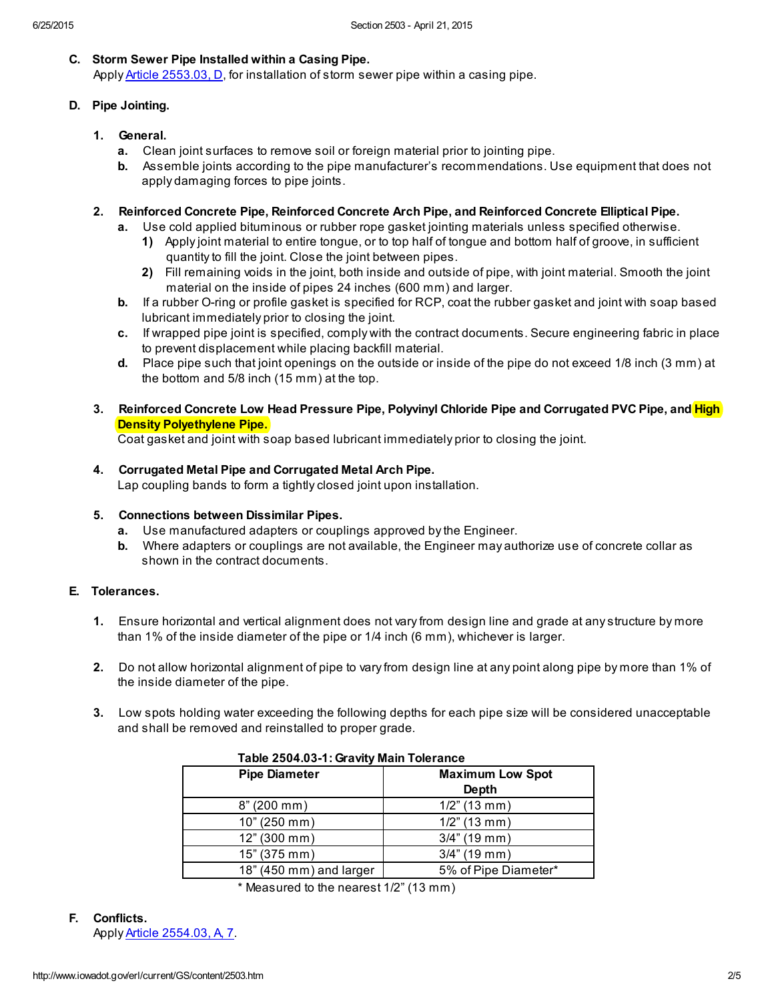## C. Storm Sewer Pipe Installed within a Casing Pipe.

Apply Article [2553.03,](http://www.iowadot.gov/erl/current/GS/content/2553.htm#Section255303D) D, for installation of storm sewer pipe within a casing pipe.

# D. Pipe Jointing.

- 1. General.
	- a. Clean joint surfaces to remove soil or foreign material prior to jointing pipe.
	- b. Assemble joints according to the pipe manufacturer's recommendations. Use equipment that does not apply damaging forces to pipe joints.
- 2. Reinforced Concrete Pipe, Reinforced Concrete Arch Pipe, and Reinforced Concrete Elliptical Pipe.
	- a. Use cold applied bituminous or rubber rope gasket jointing materials unless specified otherwise.
		- 1) Apply joint material to entire tongue, or to top half of tongue and bottom half of groove, in sufficient quantity to fill the joint. Close the joint between pipes.
		- 2) Fill remaining voids in the joint, both inside and outside of pipe, with joint material. Smooth the joint material on the inside of pipes 24 inches (600 mm) and larger.
	- b. If a rubber O-ring or profile gasket is specified for RCP, coat the rubber gasket and joint with soap based lubricant immediately prior to closing the joint.
	- c. If wrapped pipe joint is specified, comply with the contract documents. Secure engineering fabric in place to prevent displacement while placing backfill material.
	- d. Place pipe such that joint openings on the outside or inside of the pipe do not exceed 1/8 inch (3 mm) at the bottom and 5/8 inch (15 mm) at the top.
- 3. Reinforced Concrete Low Head Pressure Pipe, Polyvinyl Chloride Pipe and Corrugated PVC Pipe, and *High* **Density Polyethylene Pipe.**

Coat gasket and joint with soap based lubricant immediately prior to closing the joint.

4. Corrugated Metal Pipe and Corrugated Metal Arch Pipe.

Lap coupling bands to form a tightly closed joint upon installation.

#### 5. Connections between Dissimilar Pipes.

- a. Use manufactured adapters or couplings approved by the Engineer.
- b. Where adapters or couplings are not available, the Engineer may authorize use of concrete collar as shown in the contract documents.

# E. Tolerances.

- 1. Ensure horizontal and vertical alignment does not vary from design line and grade at any structure by more than 1% of the inside diameter of the pipe or 1/4 inch (6 mm), whichever is larger.
- 2. Do not allow horizontal alignment of pipe to vary from design line at any point along pipe by more than 1% of the inside diameter of the pipe.
- 3. Low spots holding water exceeding the following depths for each pipe size will be considered unacceptable and shall be removed and reinstalled to proper grade.

| Table 2504.03-1: Gravity Main Tolerance |                                         |
|-----------------------------------------|-----------------------------------------|
| <b>Pipe Diameter</b>                    | <b>Maximum Low Spot</b><br><b>Depth</b> |
| 8" (200 mm)                             | $1/2$ " (13 mm)                         |
| 10" (250 mm)                            | $1/2$ " (13 mm)                         |
| 12" (300 mm)                            | $3/4$ " (19 mm)                         |
| 15" (375 mm)                            | $3/4$ " (19 mm)                         |
| 18" (450 mm) and larger                 | 5% of Pipe Diameter*                    |

\* Measured to the nearest 1/2" (13 mm)

F. Conflicts. Apply Article [2554.03,](http://www.iowadot.gov/erl/current/GS/content/2554.htm#Section255403A) A, 7.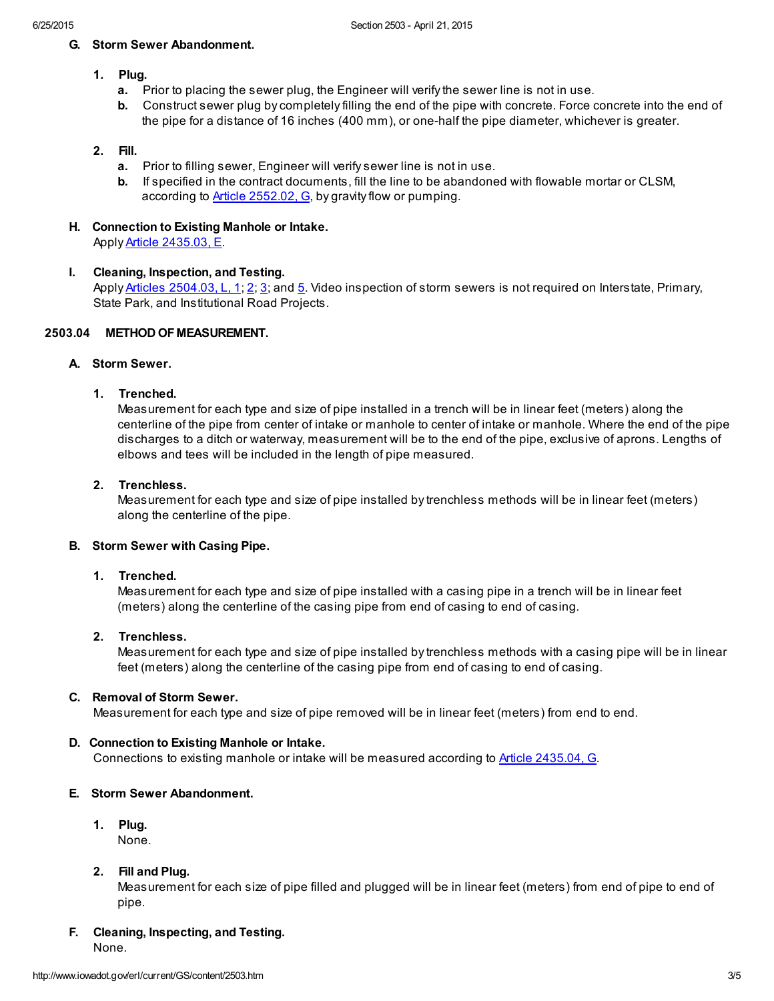#### G. Storm Sewer Abandonment.

# 1. Plug.

- a. Prior to placing the sewer plug, the Engineer will verify the sewer line is not in use.
- b. Construct sewer plug by completely filling the end of the pipe with concrete. Force concrete into the end of the pipe for a distance of 16 inches (400 mm), or one-half the pipe diameter, whichever is greater.

## 2. Fill.

- a. Prior to filling sewer, Engineer will verify sewer line is not in use.
- b. If specified in the contract documents, fill the line to be abandoned with flowable mortar or CLSM, according to **Article [2552.02,](http://www.iowadot.gov/erl/current/GS/content/2552.htm#Section255202G) G**, by gravity flow or pumping.
- H. Connection to Existing Manhole or Intake. Apply Article [2435.03,](http://www.iowadot.gov/erl/current/GS/content/2435.htm#Section243503E) E.

# I. Cleaning, Inspection, and Testing.

Apply Articles [2504.03,](http://www.iowadot.gov/erl/current/GS/content/2504.htm#Section250403L) L, 1; [2](http://www.iowadot.gov/erl/current/GS/content/2504.htm#Section250403L); [3;](http://www.iowadot.gov/erl/current/GS/content/2504.htm#Section250403L) and [5](http://www.iowadot.gov/erl/current/GS/content/2504.htm#Section250403L). Video inspection of storm sewers is not required on Interstate, Primary, State Park, and Institutional Road Projects.

# 2503.04 METHOD OF MEASUREMENT.

## A. Storm Sewer.

# 1. Trenched.

Measurement for each type and size of pipe installed in a trench will be in linear feet (meters) along the centerline of the pipe from center of intake or manhole to center of intake or manhole. Where the end of the pipe discharges to a ditch or waterway, measurement will be to the end of the pipe, exclusive of aprons. Lengths of elbows and tees will be included in the length of pipe measured.

## 2. Trenchless.

Measurement for each type and size of pipe installed by trenchless methods will be in linear feet (meters) along the centerline of the pipe.

#### B. Storm Sewer with Casing Pipe.

#### 1. Trenched.

Measurement for each type and size of pipe installed with a casing pipe in a trench will be in linear feet (meters) along the centerline of the casing pipe from end of casing to end of casing.

## 2. Trenchless.

Measurement for each type and size of pipe installed by trenchless methods with a casing pipe will be in linear feet (meters) along the centerline of the casing pipe from end of casing to end of casing.

#### C. Removal of Storm Sewer.

Measurement for each type and size of pipe removed will be in linear feet (meters) from end to end.

#### D. Connection to Existing Manhole or Intake.

Connections to existing manhole or intake will be measured according to Article [2435.04,](http://www.iowadot.gov/erl/current/GS/content/2435.htm#Section243504G) G.

#### E. Storm Sewer Abandonment.

1. Plug.

None.

# 2. Fill and Plug.

Measurement for each size of pipe filled and plugged will be in linear feet (meters) from end of pipe to end of pipe.

# F. Cleaning, Inspecting, and Testing.

None.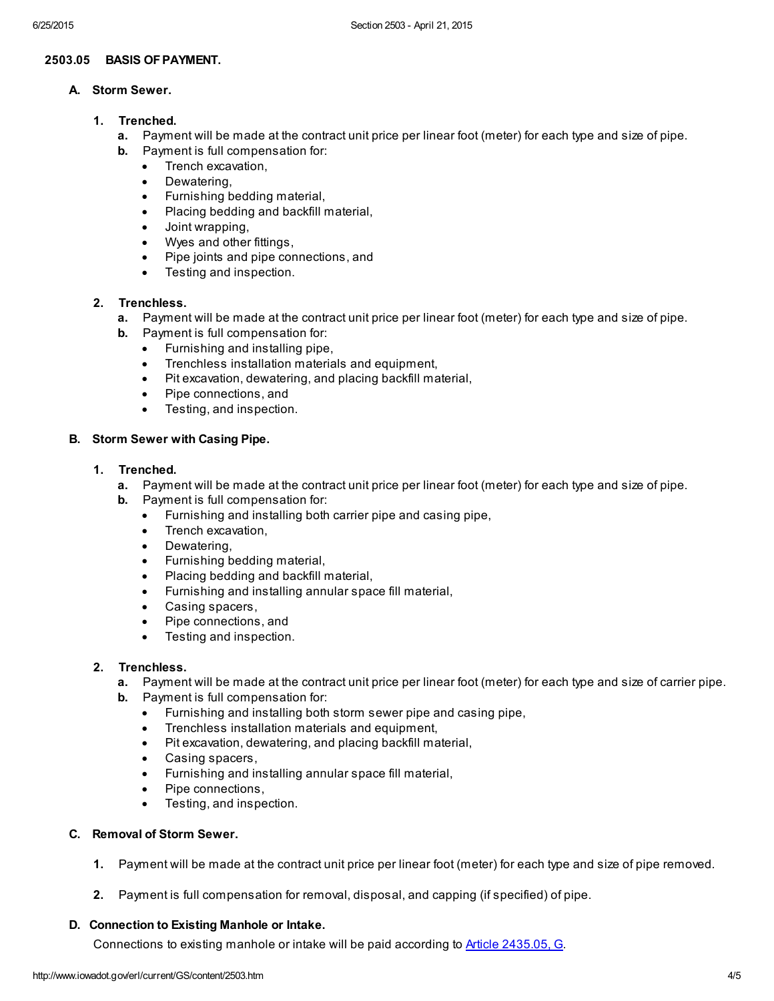## 2503.05 BASIS OFPAYMENT.

## A. Storm Sewer.

- 1. Trenched.
	- a. Payment will be made at the contract unit price per linear foot (meter) for each type and size of pipe.
	- b. Payment is full compensation for:
		- · Trench excavation,
		- · Dewatering,
		- Furnishing bedding material.
		- · Placing bedding and backfill material,
		- · Joint wrapping,
		- · Wyes and other fittings,
		- · Pipe joints and pipe connections, and
		- · Testing and inspection.

# 2. Trenchless.

- a. Payment will be made at the contract unit price per linear foot (meter) for each type and size of pipe.
- b. Payment is full compensation for:
	- · Furnishing and installing pipe,
	- Trenchless installation materials and equipment.
	- Pit excavation, dewatering, and placing backfill material,
	- Pipe connections, and
	- · Testing, and inspection.

#### B. Storm Sewer with Casing Pipe.

- 1. Trenched.
	- a. Payment will be made at the contract unit price per linear foot (meter) for each type and size of pipe.
	- b. Payment is full compensation for:
		- Furnishing and installing both carrier pipe and casing pipe,
		- · Trench excavation,
		- · Dewatering,
		- Furnishing bedding material,
		- · Placing bedding and backfill material,
		- Furnishing and installing annular space fill material,
		- Casing spacers,
		- Pipe connections, and
		- · Testing and inspection.

#### 2. Trenchless.

- a. Payment will be made at the contract unit price per linear foot (meter) for each type and size of carrier pipe.
- b. Payment is full compensation for:
	- · Furnishing and installing both storm sewer pipe and casing pipe,
	- Trenchless installation materials and equipment,
	- Pit excavation, dewatering, and placing backfill material,
	- · Casing spacers,
	- · Furnishing and installing annular space fill material,
	- Pipe connections,
	- · Testing, and inspection.

## C. Removal of Storm Sewer.

- 1. Payment will be made at the contract unit price per linear foot (meter) for each type and size of pipe removed.
- 2. Payment is full compensation for removal, disposal, and capping (if specified) of pipe.

# D. Connection to Existing Manhole or Intake.

Connections to existing manhole or intake will be paid according to **Article [2435.05,](http://www.iowadot.gov/erl/current/GS/content/2435.htm#Section243505G) G.**